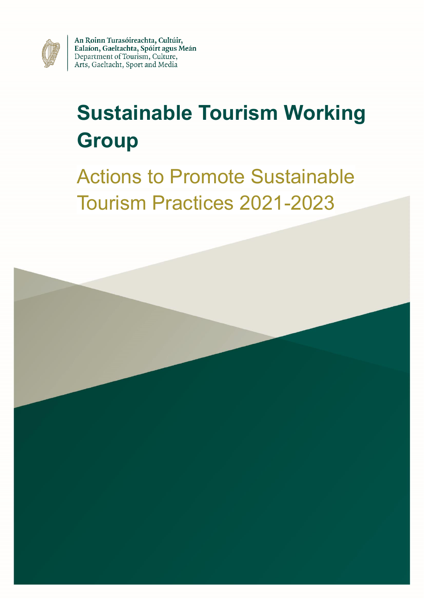

An Roinn Turasóireachta, Cultúir, Ealaíon, Gaeltachta, Spóirt agus Meán Department of Tourism, Culture, Arts, Gaeltacht, Sport and Media

# **Sustainable Tourism Working Group**

Actions to Promote Sustainable Tourism Practices 2021-2023

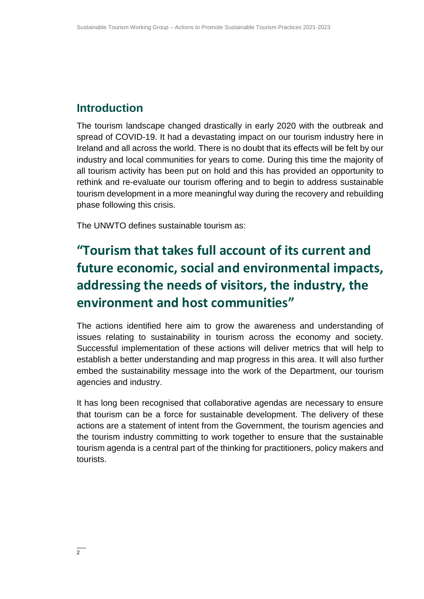#### **Introduction**

The tourism landscape changed drastically in early 2020 with the outbreak and spread of COVID-19. It had a devastating impact on our tourism industry here in Ireland and all across the world. There is no doubt that its effects will be felt by our industry and local communities for years to come. During this time the majority of all tourism activity has been put on hold and this has provided an opportunity to rethink and re-evaluate our tourism offering and to begin to address sustainable tourism development in a more meaningful way during the recovery and rebuilding phase following this crisis.

The UNWTO defines sustainable tourism as:

### **"Tourism that takes full account of its current and future economic, social and environmental impacts, addressing the needs of visitors, the industry, the environment and host communities"**

The actions identified here aim to grow the awareness and understanding of issues relating to sustainability in tourism across the economy and society. Successful implementation of these actions will deliver metrics that will help to establish a better understanding and map progress in this area. It will also further embed the sustainability message into the work of the Department, our tourism agencies and industry.

It has long been recognised that collaborative agendas are necessary to ensure that tourism can be a force for sustainable development. The delivery of these actions are a statement of intent from the Government, the tourism agencies and the tourism industry committing to work together to ensure that the sustainable tourism agenda is a central part of the thinking for practitioners, policy makers and tourists.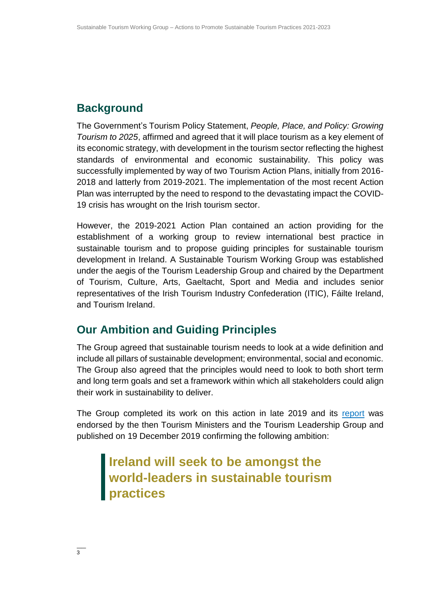### **Background**

The Government's Tourism Policy Statement, *People, Place, and Policy: Growing Tourism to 2025*, affirmed and agreed that it will place tourism as a key element of its economic strategy, with development in the tourism sector reflecting the highest standards of environmental and economic sustainability. This policy was successfully implemented by way of two Tourism Action Plans, initially from 2016- 2018 and latterly from 2019-2021. The implementation of the most recent Action Plan was interrupted by the need to respond to the devastating impact the COVID-19 crisis has wrought on the Irish tourism sector.

However, the 2019-2021 Action Plan contained an action providing for the establishment of a working group to review international best practice in sustainable tourism and to propose guiding principles for sustainable tourism development in Ireland. A Sustainable Tourism Working Group was established under the aegis of the Tourism Leadership Group and chaired by the Department of Tourism, Culture, Arts, Gaeltacht, Sport and Media and includes senior representatives of the Irish Tourism Industry Confederation (ITIC), Fáilte Ireland, and Tourism Ireland.

#### **Our Ambition and Guiding Principles**

The Group agreed that sustainable tourism needs to look at a wide definition and include all pillars of sustainable development; environmental, social and economic. The Group also agreed that the principles would need to look to both short term and long term goals and set a framework within which all stakeholders could align their work in sustainability to deliver.

The Group completed its work on this action in late 2019 and its [report](https://assets.gov.ie/44791/d4cc61c233da4e179f4c8761136e1b25.pdf) was endorsed by the then Tourism Ministers and the Tourism Leadership Group and published on 19 December 2019 confirming the following ambition:

### **Ireland will seek to be amongst the world-leaders in sustainable tourism practices**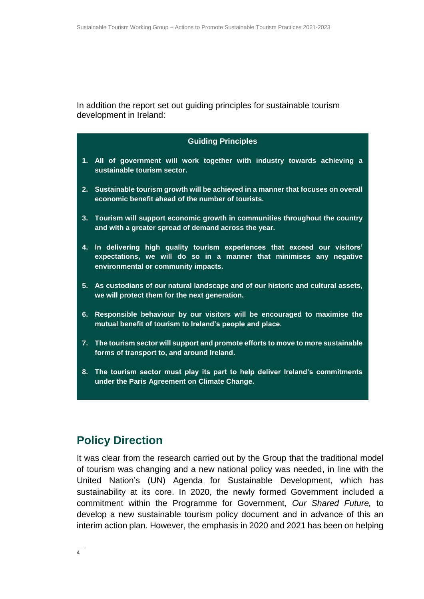In addition the report set out quiding principles for sustainable tourism development in Ireland:

#### **Guiding Principles**

- **1. All of government will work together with industry towards achieving a sustainable tourism sector.**
- **2. Sustainable tourism growth will be achieved in a manner that focuses on overall economic benefit ahead of the number of tourists.**
- **3. Tourism will support economic growth in communities throughout the country and with a greater spread of demand across the year.**
- **4. In delivering high quality tourism experiences that exceed our visitors' expectations, we will do so in a manner that minimises any negative environmental or community impacts.**
- **5. As custodians of our natural landscape and of our historic and cultural assets, we will protect them for the next generation.**
- **6. Responsible behaviour by our visitors will be encouraged to maximise the mutual benefit of tourism to Ireland's people and place.**
- **7. The tourism sector will support and promote efforts to move to more sustainable forms of transport to, and around Ireland.**
- **8. The tourism sector must play its part to help deliver Ireland's commitments under the Paris Agreement on Climate Change.**

#### **Policy Direction**

It was clear from the research carried out by the Group that the traditional model of tourism was changing and a new national policy was needed, in line with the United Nation's (UN) Agenda for Sustainable Development, which has sustainability at its core. In 2020, the newly formed Government included a commitment within the Programme for Government, *Our Shared Future,* to develop a new sustainable tourism policy document and in advance of this an interim action plan. However, the emphasis in 2020 and 2021 has been on helping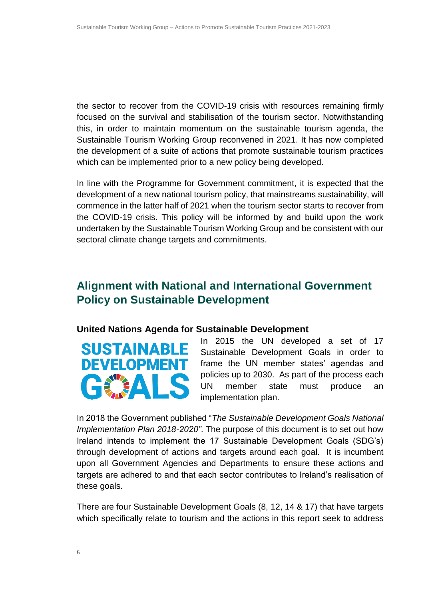the sector to recover from the COVID-19 crisis with resources remaining firmly focused on the survival and stabilisation of the tourism sector. Notwithstanding this, in order to maintain momentum on the sustainable tourism agenda, the Sustainable Tourism Working Group reconvened in 2021. It has now completed the development of a suite of actions that promote sustainable tourism practices which can be implemented prior to a new policy being developed.

In line with the Programme for Government commitment, it is expected that the development of a new national tourism policy, that mainstreams sustainability, will commence in the latter half of 2021 when the tourism sector starts to recover from the COVID-19 crisis. This policy will be informed by and build upon the work undertaken by the Sustainable Tourism Working Group and be consistent with our sectoral climate change targets and commitments.

### **Alignment with National and International Government Policy on Sustainable Development**

#### **United Nations Agenda for Sustainable Development**



In 2015 the UN developed a set of 17 Sustainable Development Goals in order to frame the UN member states' agendas and policies up to 2030. As part of the process each UN member state must produce an implementation plan.

In 2018 the Government published "*The Sustainable Development Goals National Implementation Plan 2018-2020"*. The purpose of this document is to set out how Ireland intends to implement the 17 Sustainable Development Goals (SDG's) through development of actions and targets around each goal. It is incumbent upon all Government Agencies and Departments to ensure these actions and targets are adhered to and that each sector contributes to Ireland's realisation of these goals.

There are four Sustainable Development Goals (8, 12, 14 & 17) that have targets which specifically relate to tourism and the actions in this report seek to address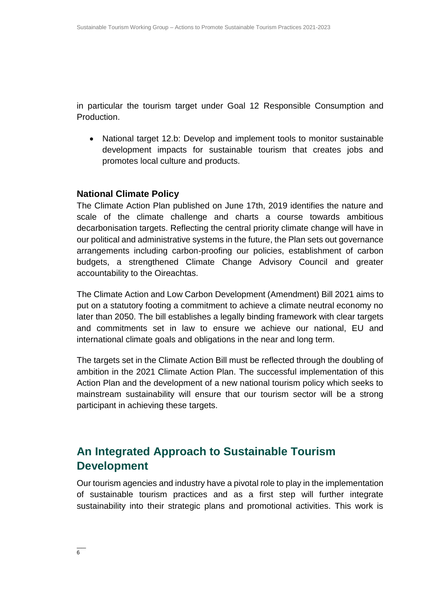in particular the tourism target under Goal 12 Responsible Consumption and Production.

• National target 12.b: Develop and implement tools to monitor sustainable development impacts for sustainable tourism that creates jobs and promotes local culture and products.

#### **National Climate Policy**

The Climate Action Plan published on June 17th, 2019 identifies the nature and scale of the climate challenge and charts a course towards ambitious decarbonisation targets. Reflecting the central priority climate change will have in our political and administrative systems in the future, the Plan sets out governance arrangements including carbon-proofing our policies, establishment of carbon budgets, a strengthened Climate Change Advisory Council and greater accountability to the Oireachtas.

The Climate Action and Low Carbon Development (Amendment) Bill 2021 aims to put on a statutory footing a commitment to achieve a climate neutral economy no later than 2050. The bill establishes a legally binding framework with clear targets and commitments set in law to ensure we achieve our national, EU and international climate goals and obligations in the near and long term.

The targets set in the Climate Action Bill must be reflected through the doubling of ambition in the 2021 Climate Action Plan. The successful implementation of this Action Plan and the development of a new national tourism policy which seeks to mainstream sustainability will ensure that our tourism sector will be a strong participant in achieving these targets.

### **An Integrated Approach to Sustainable Tourism Development**

Our tourism agencies and industry have a pivotal role to play in the implementation of sustainable tourism practices and as a first step will further integrate sustainability into their strategic plans and promotional activities. This work is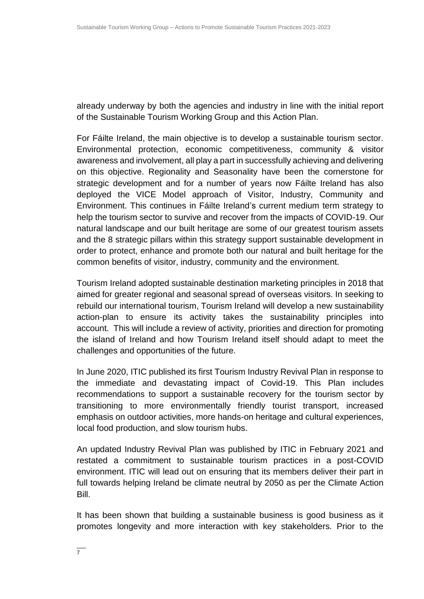already underway by both the agencies and industry in line with the initial report of the Sustainable Tourism Working Group and this Action Plan.

For Fáilte Ireland, the main objective is to develop a sustainable tourism sector. Environmental protection, economic competitiveness, community & visitor awareness and involvement, all play a part in successfully achieving and delivering on this objective. Regionality and Seasonality have been the cornerstone for strategic development and for a number of years now Fáilte Ireland has also deployed the VICE Model approach of Visitor, Industry, Community and Environment. This continues in Fáilte Ireland's current medium term strategy to help the tourism sector to survive and recover from the impacts of COVID-19. Our natural landscape and our built heritage are some of our greatest tourism assets and the 8 strategic pillars within this strategy support sustainable development in order to protect, enhance and promote both our natural and built heritage for the common benefits of visitor, industry, community and the environment.

Tourism Ireland adopted sustainable destination marketing principles in 2018 that aimed for greater regional and seasonal spread of overseas visitors. In seeking to rebuild our international tourism, Tourism Ireland will develop a new sustainability action-plan to ensure its activity takes the sustainability principles into account. This will include a review of activity, priorities and direction for promoting the island of Ireland and how Tourism Ireland itself should adapt to meet the challenges and opportunities of the future.

In June 2020, ITIC published its first Tourism Industry Revival Plan in response to the immediate and devastating impact of Covid-19. This Plan includes recommendations to support a sustainable recovery for the tourism sector by transitioning to more environmentally friendly tourist transport, increased emphasis on outdoor activities, more hands-on heritage and cultural experiences, local food production, and slow tourism hubs.

An updated Industry Revival Plan was published by ITIC in February 2021 and restated a commitment to sustainable tourism practices in a post-COVID environment. ITIC will lead out on ensuring that its members deliver their part in full towards helping Ireland be climate neutral by 2050 as per the Climate Action Bill.

It has been shown that building a sustainable business is good business as it promotes longevity and more interaction with key stakeholders. Prior to the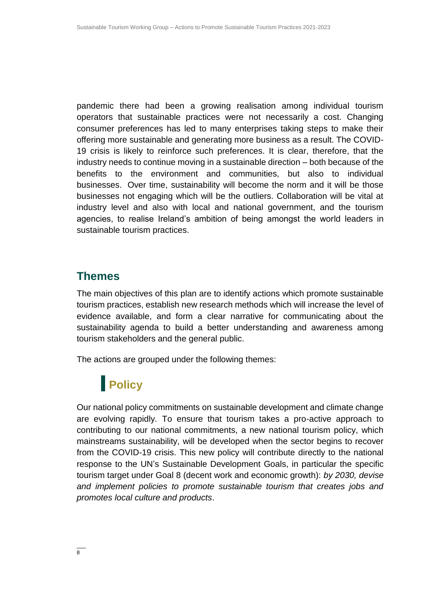pandemic there had been a growing realisation among individual tourism operators that sustainable practices were not necessarily a cost. Changing consumer preferences has led to many enterprises taking steps to make their offering more sustainable and generating more business as a result. The COVID-19 crisis is likely to reinforce such preferences. It is clear, therefore, that the industry needs to continue moving in a sustainable direction – both because of the benefits to the environment and communities, but also to individual businesses. Over time, sustainability will become the norm and it will be those businesses not engaging which will be the outliers. Collaboration will be vital at industry level and also with local and national government, and the tourism agencies, to realise Ireland's ambition of being amongst the world leaders in sustainable tourism practices.

#### **Themes**

The main objectives of this plan are to identify actions which promote sustainable tourism practices, establish new research methods which will increase the level of evidence available, and form a clear narrative for communicating about the sustainability agenda to build a better understanding and awareness among tourism stakeholders and the general public.

The actions are grouped under the following themes:

# **Policy**

Our national policy commitments on sustainable development and climate change are evolving rapidly. To ensure that tourism takes a pro-active approach to contributing to our national commitments, a new national tourism policy, which mainstreams sustainability, will be developed when the sector begins to recover from the COVID-19 crisis. This new policy will contribute directly to the national response to the UN's Sustainable Development Goals, in particular the specific tourism target under Goal 8 (decent work and economic growth): *by 2030, devise and implement policies to promote sustainable tourism that creates jobs and promotes local culture and products*.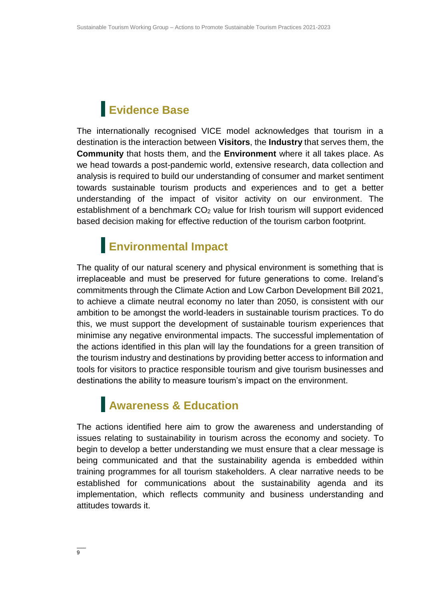### **Evidence Base**

The internationally recognised VICE model acknowledges that tourism in a destination is the interaction between **Visitors**, the **Industry** that serves them, the **Community** that hosts them, and the **Environment** where it all takes place. As we head towards a post-pandemic world, extensive research, data collection and analysis is required to build our understanding of consumer and market sentiment towards sustainable tourism products and experiences and to get a better understanding of the impact of visitor activity on our environment. The establishment of a benchmark CO<sub>2</sub> value for Irish tourism will support evidenced based decision making for effective reduction of the tourism carbon footprint.

### **Environmental Impact**

The quality of our natural scenery and physical environment is something that is irreplaceable and must be preserved for future generations to come. Ireland's commitments through the Climate Action and Low Carbon Development Bill 2021, to achieve a climate neutral economy no later than 2050, is consistent with our ambition to be amongst the world-leaders in sustainable tourism practices. To do this, we must support the development of sustainable tourism experiences that minimise any negative environmental impacts. The successful implementation of the actions identified in this plan will lay the foundations for a green transition of the tourism industry and destinations by providing better access to information and tools for visitors to practice responsible tourism and give tourism businesses and destinations the ability to measure tourism's impact on the environment.

### **Awareness & Education**

The actions identified here aim to grow the awareness and understanding of issues relating to sustainability in tourism across the economy and society. To begin to develop a better understanding we must ensure that a clear message is being communicated and that the sustainability agenda is embedded within training programmes for all tourism stakeholders. A clear narrative needs to be established for communications about the sustainability agenda and its implementation, which reflects community and business understanding and attitudes towards it.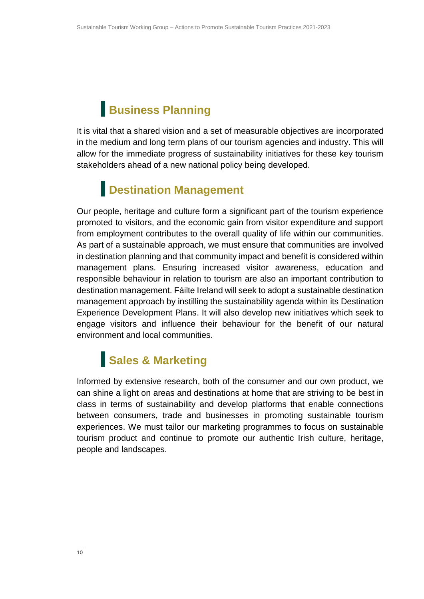### **Business Planning**

It is vital that a shared vision and a set of measurable objectives are incorporated in the medium and long term plans of our tourism agencies and industry. This will allow for the immediate progress of sustainability initiatives for these key tourism stakeholders ahead of a new national policy being developed.

### **Destination Management**

Our people, heritage and culture form a significant part of the tourism experience promoted to visitors, and the economic gain from visitor expenditure and support from employment contributes to the overall quality of life within our communities. As part of a sustainable approach, we must ensure that communities are involved in destination planning and that community impact and benefit is considered within management plans. Ensuring increased visitor awareness, education and responsible behaviour in relation to tourism are also an important contribution to destination management. Fáilte Ireland will seek to adopt a sustainable destination management approach by instilling the sustainability agenda within its Destination Experience Development Plans. It will also develop new initiatives which seek to engage visitors and influence their behaviour for the benefit of our natural environment and local communities.

## **Sales & Marketing**

Informed by extensive research, both of the consumer and our own product, we can shine a light on areas and destinations at home that are striving to be best in class in terms of sustainability and develop platforms that enable connections between consumers, trade and businesses in promoting sustainable tourism experiences. We must tailor our marketing programmes to focus on sustainable tourism product and continue to promote our authentic Irish culture, heritage, people and landscapes.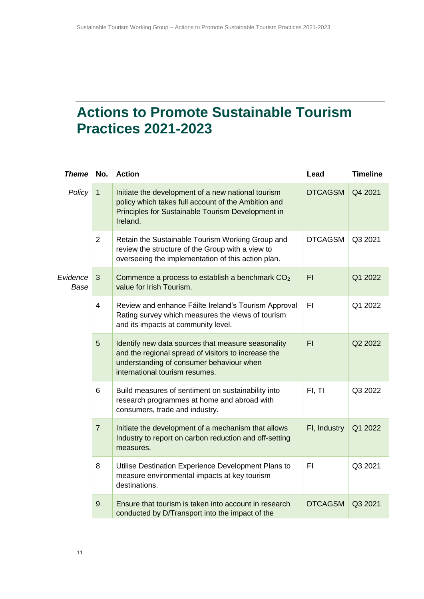### **Actions to Promote Sustainable Tourism Practices 2021-2023**

| Theme No. Action |                |                                                                                                                                                                                         | Lead           | <b>Timeline</b> |
|------------------|----------------|-----------------------------------------------------------------------------------------------------------------------------------------------------------------------------------------|----------------|-----------------|
| Policy           | $\mathbf{1}$   | Initiate the development of a new national tourism<br>policy which takes full account of the Ambition and<br>Principles for Sustainable Tourism Development in<br>Ireland.              | <b>DTCAGSM</b> | Q4 2021         |
|                  | $\overline{2}$ | Retain the Sustainable Tourism Working Group and<br>review the structure of the Group with a view to<br>overseeing the implementation of this action plan.                              | <b>DTCAGSM</b> | Q3 2021         |
| Evidence<br>Base | 3              | Commence a process to establish a benchmark CO <sub>2</sub><br>value for Irish Tourism.                                                                                                 | FI.            | Q1 2022         |
|                  | $\overline{4}$ | Review and enhance Fáilte Ireland's Tourism Approval<br>Rating survey which measures the views of tourism<br>and its impacts at community level.                                        | FI.            | Q1 2022         |
|                  | $\sqrt{5}$     | Identify new data sources that measure seasonality<br>and the regional spread of visitors to increase the<br>understanding of consumer behaviour when<br>international tourism resumes. | FI.            | Q2 2022         |
|                  | 6              | Build measures of sentiment on sustainability into<br>research programmes at home and abroad with<br>consumers, trade and industry.                                                     | FI, TI         | Q3 2022         |
|                  | $\overline{7}$ | Initiate the development of a mechanism that allows<br>Industry to report on carbon reduction and off-setting<br>measures.                                                              | FI, Industry   | Q1 2022         |
|                  | 8              | Utilise Destination Experience Development Plans to<br>measure environmental impacts at key tourism<br>destinations.                                                                    | FI.            | Q3 2021         |
|                  | 9              | Ensure that tourism is taken into account in research<br>conducted by D/Transport into the impact of the                                                                                | <b>DTCAGSM</b> | Q3 2021         |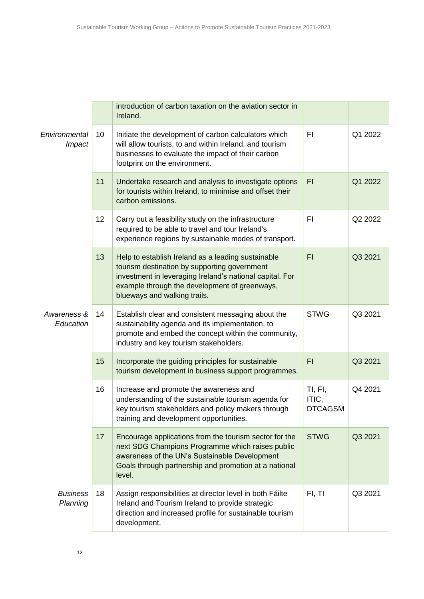|                             |    | introduction of carbon taxation on the aviation sector in<br>Ireland.                                                                                                                                                                           |                                    |         |
|-----------------------------|----|-------------------------------------------------------------------------------------------------------------------------------------------------------------------------------------------------------------------------------------------------|------------------------------------|---------|
| Environmental<br>Impact     | 10 | Initiate the development of carbon calculators which<br>will allow tourists, to and within Ireland, and tourism<br>businesses to evaluate the impact of their carbon<br>footprint on the environment.                                           | F <sub>1</sub>                     | Q1 2022 |
|                             | 11 | Undertake research and analysis to investigate options<br>for tourists within Ireland, to minimise and offset their<br>carbon emissions.                                                                                                        | F1                                 | Q1 2022 |
|                             | 12 | Carry out a feasibility study on the infrastructure<br>required to be able to travel and tour Ireland's<br>experience regions by sustainable modes of transport.                                                                                | F1                                 | Q2 2022 |
|                             | 13 | Help to establish Ireland as a leading sustainable<br>tourism destination by supporting government<br>investment in leveraging Ireland's national capital. For<br>example through the development of greenways,<br>blueways and walking trails. | F1                                 | Q3 2021 |
| Awareness &<br>Education    | 14 | Establish clear and consistent messaging about the<br>sustainability agenda and its implementation, to<br>promote and embed the concept within the community,<br>industry and key tourism stakeholders.                                         | <b>STWG</b>                        | Q3 2021 |
|                             | 15 | Incorporate the guiding principles for sustainable<br>tourism development in business support programmes.                                                                                                                                       | F1                                 | Q3 2021 |
|                             | 16 | Increase and promote the awareness and<br>understanding of the sustainable tourism agenda for<br>key tourism stakeholders and policy makers through<br>training and development opportunities                                                   | TI, FI,<br>ITIC,<br><b>DTCAGSM</b> | Q4 2021 |
|                             | 17 | Encourage applications from the tourism sector for the<br>next SDG Champions Programme which raises public<br>awareness of the UN's Sustainable Development<br>Goals through partnership and promotion at a national<br>level.                  | <b>STWG</b>                        | Q3 2021 |
| <b>Business</b><br>Planning | 18 | Assign responsibilities at director level in both Fáilte<br>Ireland and Tourism Ireland to provide strategic<br>direction and increased profile for sustainable tourism<br>development.                                                         | FI, TI                             | Q3 2021 |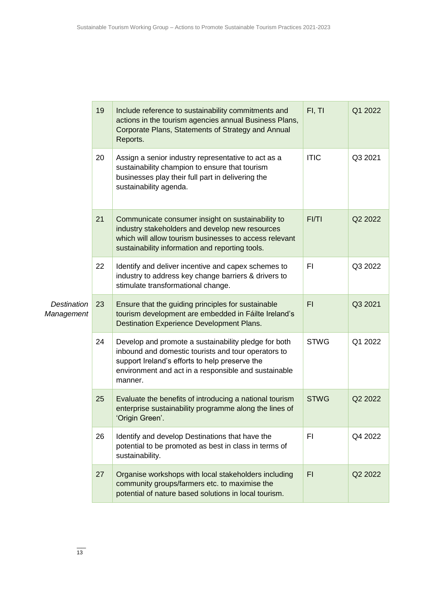| <b>Destination</b><br>Management | 19 | Include reference to sustainability commitments and<br>actions in the tourism agencies annual Business Plans,<br>Corporate Plans, Statements of Strategy and Annual<br>Reports.                                                  | FI, TI      | Q1 2022 |
|----------------------------------|----|----------------------------------------------------------------------------------------------------------------------------------------------------------------------------------------------------------------------------------|-------------|---------|
|                                  | 20 | Assign a senior industry representative to act as a<br>sustainability champion to ensure that tourism<br>businesses play their full part in delivering the<br>sustainability agenda.                                             | <b>ITIC</b> | Q3 2021 |
|                                  | 21 | Communicate consumer insight on sustainability to<br>industry stakeholders and develop new resources<br>which will allow tourism businesses to access relevant<br>sustainability information and reporting tools.                | FI/TI       | Q2 2022 |
|                                  | 22 | Identify and deliver incentive and capex schemes to<br>industry to address key change barriers & drivers to<br>stimulate transformational change.                                                                                | <b>FI</b>   | Q3 2022 |
|                                  | 23 | Ensure that the guiding principles for sustainable<br>tourism development are embedded in Fáilte Ireland's<br>Destination Experience Development Plans.                                                                          | F1          | Q3 2021 |
|                                  | 24 | Develop and promote a sustainability pledge for both<br>inbound and domestic tourists and tour operators to<br>support Ireland's efforts to help preserve the<br>environment and act in a responsible and sustainable<br>manner. | <b>STWG</b> | Q1 2022 |
|                                  | 25 | Evaluate the benefits of introducing a national tourism<br>enterprise sustainability programme along the lines of<br>'Origin Green'.                                                                                             | <b>STWG</b> | Q2 2022 |
|                                  | 26 | Identify and develop Destinations that have the<br>potential to be promoted as best in class in terms of<br>sustainability.                                                                                                      | FI          | Q4 2022 |
|                                  | 27 | Organise workshops with local stakeholders including<br>community groups/farmers etc. to maximise the<br>potential of nature based solutions in local tourism.                                                                   | F1          | Q2 2022 |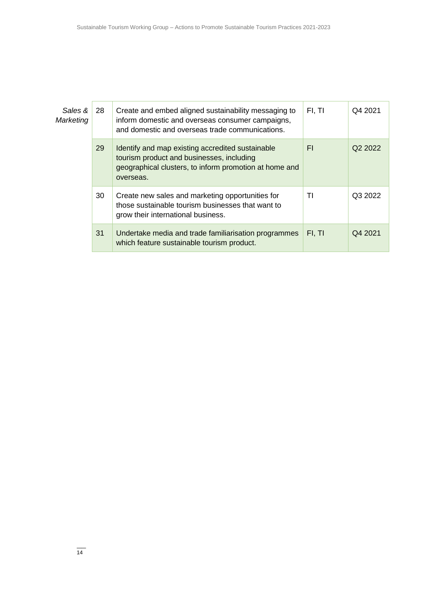| Sales &<br>Marketing | 28 | Create and embed aligned sustainability messaging to<br>inform domestic and overseas consumer campaigns,<br>and domestic and overseas trade communications.          | FI, TI | Q4 2021             |
|----------------------|----|----------------------------------------------------------------------------------------------------------------------------------------------------------------------|--------|---------------------|
|                      | 29 | Identify and map existing accredited sustainable<br>tourism product and businesses, including<br>geographical clusters, to inform promotion at home and<br>overseas. | FI     | Q <sub>2</sub> 2022 |
|                      | 30 | Create new sales and marketing opportunities for<br>those sustainable tourism businesses that want to<br>grow their international business.                          | ΤI     | Q3 2022             |
|                      | 31 | Undertake media and trade familiarisation programmes<br>which feature sustainable tourism product.                                                                   | FI, TI | Q4 2021             |